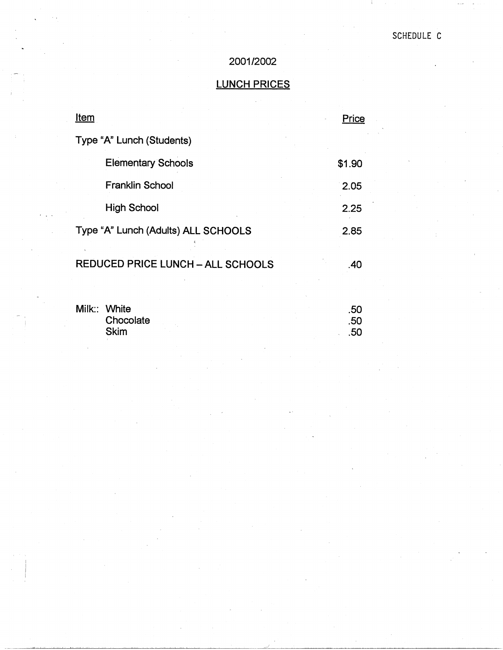# 2001/2002

# LUNCH PRICES

| <u>Item</u>                              | Price             |
|------------------------------------------|-------------------|
| Type "A" Lunch (Students)                |                   |
| <b>Elementary Schools</b>                | \$1.90            |
| <b>Franklin School</b>                   | 2.05              |
| <b>High School</b>                       | 2.25              |
| Type "A" Lunch (Adults) ALL SCHOOLS      | 2.85              |
| <b>REDUCED PRICE LUNCH - ALL SCHOOLS</b> | .40               |
| Milk:: White<br>Chocolate<br><b>Skim</b> | .50<br>.50<br>.50 |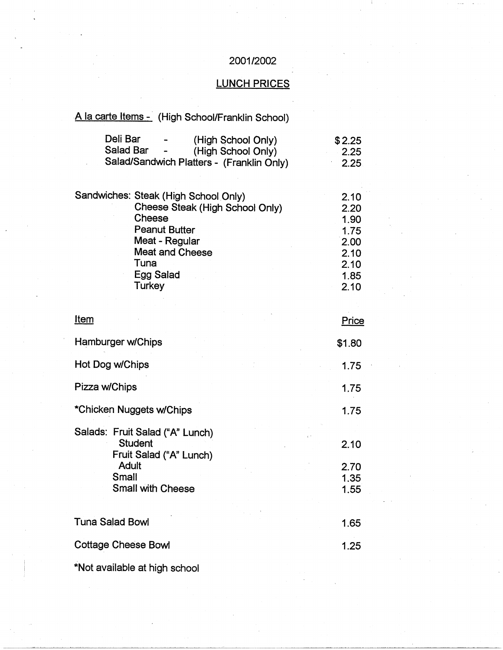## 2001/2002

# LUNCH PRICES

# A la carte Items - (High School/Franklin School)

| Deli Bar  | $\blacksquare$           | (High School Only)                        | \$2.25  |
|-----------|--------------------------|-------------------------------------------|---------|
| Salad Bar | $\overline{\phantom{a}}$ | (High School Only)                        | $-2.25$ |
|           |                          | Salad/Sandwich Platters - (Franklin Only) | 2.25    |

|  | Sandwiches: Steak (High School Only) | 2.10 |
|--|--------------------------------------|------|
|  | Cheese Steak (High School Only)      | 2.20 |
|  | Cheese                               | 1.90 |
|  | <b>Peanut Butter</b>                 | 1.75 |
|  | Meat - Regular                       | 2.00 |
|  | <b>Meat and Cheese</b>               | 2.10 |
|  | Tuna                                 | 2.10 |
|  | Egg Salad                            | 1.85 |
|  | Turkey                               | 2.10 |

| <u>Item</u>                                                                                                                |  | Price                        |
|----------------------------------------------------------------------------------------------------------------------------|--|------------------------------|
| Hamburger w/Chips                                                                                                          |  | \$1.80                       |
| Hot Dog w/Chips                                                                                                            |  | 1.75                         |
| Pizza w/Chips                                                                                                              |  | 1.75                         |
| *Chicken Nuggets w/Chips                                                                                                   |  | 1.75                         |
| Salads: Fruit Salad ("A" Lunch)<br><b>Student</b><br>Fruit Salad ("A" Lunch)<br>Adult<br>Small<br><b>Small with Cheese</b> |  | 2.10<br>2.70<br>1.35<br>1.55 |
| <b>Tuna Salad Bowl</b>                                                                                                     |  | 1.65                         |
| <b>Cottage Cheese Bowl</b>                                                                                                 |  | 1.25                         |
|                                                                                                                            |  |                              |

\*Not available at high school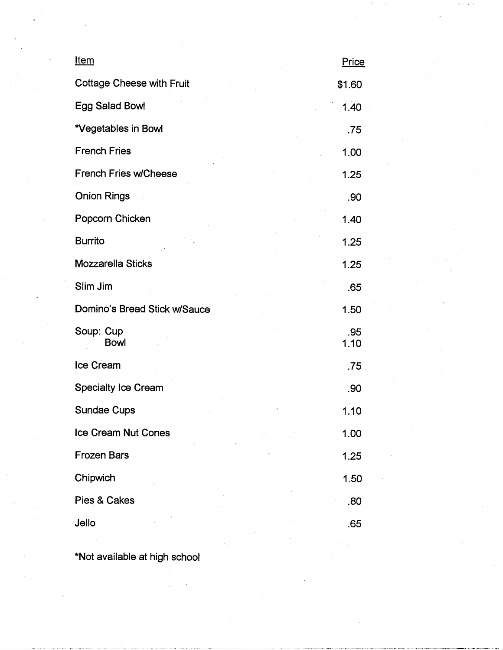| <u>Item</u>                      | Price       |
|----------------------------------|-------------|
| <b>Cottage Cheese with Fruit</b> | \$1.60      |
| <b>Egg Salad Bowl</b>            | 1.40        |
| *Vegetables in Bowl              | .75         |
| <b>French Fries</b>              | 1.00        |
| <b>French Fries w/Cheese</b>     | 1.25        |
| <b>Onion Rings</b>               | .90         |
| Popcorn Chicken                  | 1.40        |
| <b>Burrito</b>                   | 1.25        |
| <b>Mozzarella Sticks</b>         | 1.25        |
| Slim Jim                         | .65         |
| Domino's Bread Stick w/Sauce     | 1.50        |
| Soup: Cup<br><b>Bowl</b>         | .95<br>1.10 |
| Ice Cream                        | .75         |
| <b>Specialty Ice Cream</b>       | .90         |
| <b>Sundae Cups</b>               | 1.10        |
| Ice Cream Nut Cones              | 1.00        |
| <b>Frozen Bars</b>               | 1.25        |
| Chipwich                         | 1.50        |
| Pies & Cakes                     | .80         |
| Jello                            | .65         |

":Not available at high schoot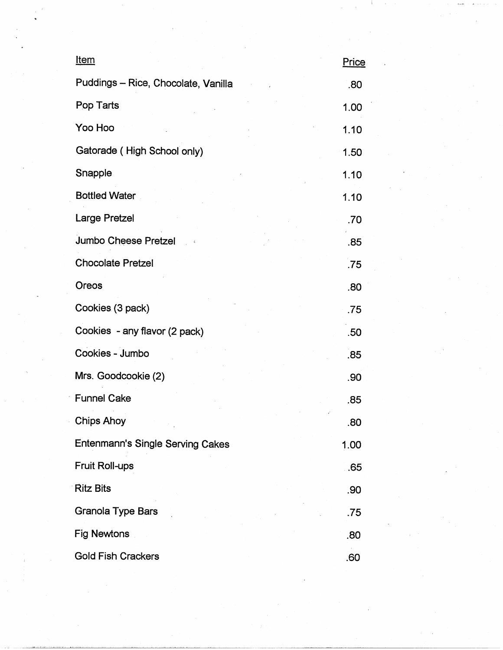| <u>Item</u>                         | <u>Price</u> |
|-------------------------------------|--------------|
| Puddings - Rice, Chocolate, Vanilla | .80          |
| Pop Tarts                           | 1.00         |
| Yoo Hoo                             | 1.10         |
| Gatorade (High School only)         | 1.50         |
| Snapple                             | 1.10         |
| <b>Bottled Water</b>                | 1.10         |
| <b>Large Pretzel</b>                | .70          |
| <b>Jumbo Cheese Pretzel</b>         | .85          |
| <b>Chocolate Pretzel</b>            | .75          |
| Oreos                               | .80          |
| Cookies (3 pack)                    | .75          |
| Cookies - any flavor (2 pack)       | .50          |
| Cookies - Jumbo                     | .85          |
| Mrs. Goodcookie (2)                 | .90          |
| <b>Funnel Cake</b>                  | .85          |
| <b>Chips Ahoy</b>                   | .80          |
| Entenmann's Single Serving Cakes    | 1.00         |
| Fruit Roll-ups                      | .65          |
| <b>Ritz Bits</b>                    | .90          |
| Granola Type Bars                   | .75          |
| Fig Newtons                         | .80          |
| <b>Gold Fish Crackers</b>           | .60          |

 $\label{eq:2} \begin{split} \mathcal{L}_{\text{max}}(\mathbf{r}) & = \frac{1}{2} \sum_{i=1}^{N} \mathcal{L}_{\text{max}}(\mathbf{r}) \\ & = \frac{1}{2} \sum_{i=1}^{N} \mathcal{L}_{\text{max}}(\mathbf{r}) \mathcal{L}_{\text{max}}(\mathbf{r}) \\ & = \frac{1}{2} \sum_{i=1}^{N} \mathcal{L}_{\text{max}}(\mathbf{r}) \mathcal{L}_{\text{max}}(\mathbf{r}) \end{split}$ 

 $\label{eq:2} \frac{1}{\sqrt{2}}\left(\frac{1}{\sqrt{2}}\right)^{2} \left(\frac{1}{\sqrt{2}}\right)^{2} \left(\frac{1}{\sqrt{2}}\right)^{2} \left(\frac{1}{\sqrt{2}}\right)^{2} \left(\frac{1}{\sqrt{2}}\right)^{2} \left(\frac{1}{\sqrt{2}}\right)^{2} \left(\frac{1}{\sqrt{2}}\right)^{2} \left(\frac{1}{\sqrt{2}}\right)^{2} \left(\frac{1}{\sqrt{2}}\right)^{2} \left(\frac{1}{\sqrt{2}}\right)^{2} \left(\frac{1}{\sqrt{2}}\right)^{2} \left(\frac{$ 

 $\label{eq:2} \hat{C}_{\rm{max}}$ 

 $\label{eq:2.1} \frac{1}{\sqrt{2\pi}}\int_{0}^{\infty}\frac{d\mu}{\sqrt{2\pi}}\left(\frac{d\mu}{\mu}\right)^2\frac{d\mu}{\sqrt{2\pi}}\frac{d\mu}{\sqrt{2\pi}}\frac{d\mu}{\sqrt{2\pi}}\frac{d\mu}{\sqrt{2\pi}}\frac{d\mu}{\sqrt{2\pi}}\frac{d\mu}{\sqrt{2\pi}}\frac{d\mu}{\sqrt{2\pi}}\frac{d\mu}{\sqrt{2\pi}}\frac{d\mu}{\sqrt{2\pi}}\frac{d\mu}{\sqrt{2\pi}}\frac{d\mu}{\sqrt{2\pi}}\frac{d\mu}{$ 

 $\label{eq:2.1} \frac{1}{\sqrt{2}}\int_{\mathbb{R}^3}\frac{1}{\sqrt{2}}\left(\frac{1}{\sqrt{2}}\right)^2\frac{1}{\sqrt{2}}\left(\frac{1}{\sqrt{2}}\right)^2\frac{1}{\sqrt{2}}\left(\frac{1}{\sqrt{2}}\right)^2.$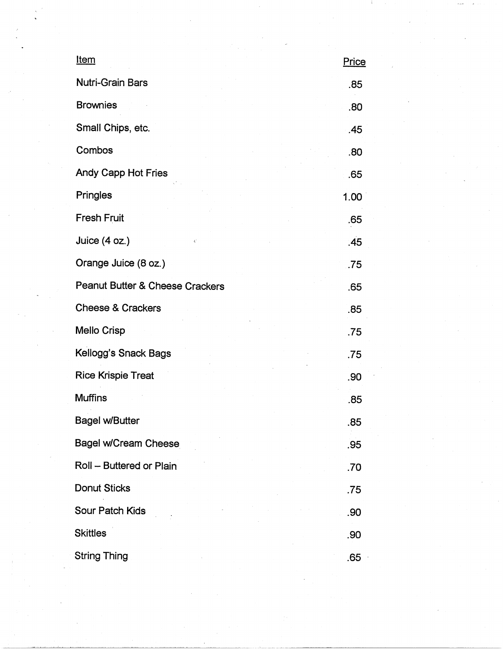| <u>Item</u>                     | Price |
|---------------------------------|-------|
| <b>Nutri-Grain Bars</b>         | .85   |
| <b>Brownies</b>                 | .80   |
| Small Chips, etc.               | .45   |
| Combos                          | .80   |
| Andy Capp Hot Fries             | .65   |
| Pringles                        | 1.00  |
| <b>Fresh Fruit</b>              | .65   |
| Juice (4 oz.)<br>¢,             | .45   |
| Orange Juice (8 oz.)            | .75   |
| Peanut Butter & Cheese Crackers | .65   |
| <b>Cheese &amp; Crackers</b>    | .85   |
| <b>Mello Crisp</b>              | .75   |
| Kellogg's Snack Bags            | .75   |
| <b>Rice Krispie Treat</b>       | .90   |
| <b>Muffins</b>                  | .85   |
| <b>Bagel w/Butter</b>           | .85   |
| <b>Bagel w/Cream Cheese</b>     | .95   |
| Roll - Buttered or Plain        | .70   |
| Donut Sticks                    | .75   |
| Sour Patch Kids                 | .90   |
| <b>Skittles</b>                 | .90   |
| <b>String Thing</b>             | .65   |